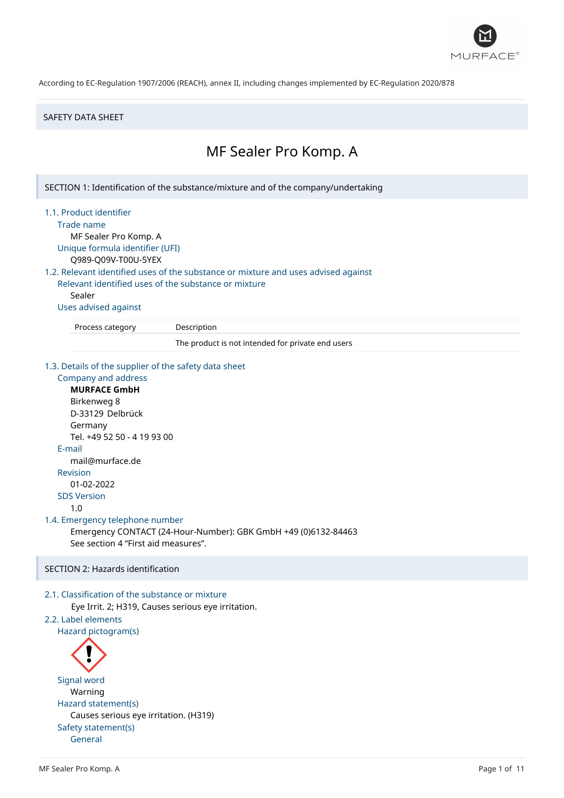

## SAFETY DATA SHEET

# MF Sealer Pro Komp. A

SECTION 1: Identification of the substance/mixture and of the company/undertaking

- 1.1. Product identifier
	- Trade name

MF Sealer Pro Komp. A Unique formula identifier (UFI)

Q989-Q09V-T00U-5YEX

# 1.2. Relevant identified uses of the substance or mixture and uses advised against

Relevant identified uses of the substance or mixture Sealer

# Uses advised against

Process category Description

The product is not intended for private end users

#### 1.3. Details of the supplier of the safety data sheet

```
Company and address
     MURFACE GmbH
     Birkenweg 8
     D-33129 Delbrück
     Germany
     Tel. +49 52 50 - 4 19 93 00
  E-mail
     mail@murface.de
  Revision
     01-02-2022
  SDS Version
     1.0
1.4. Emergency telephone number
     Emergency CONTACT (24-Hour-Number): GBK GmbH +49 (0)6132-84463
     See section 4 "First aid measures".
SECTION 2: Hazards identification
```
# 2.1. Classification of the substance or mixture

Eye Irrit. 2; H319, Causes serious eye irritation.

# 2.2. Label elements

Hazard pictogram(s)



General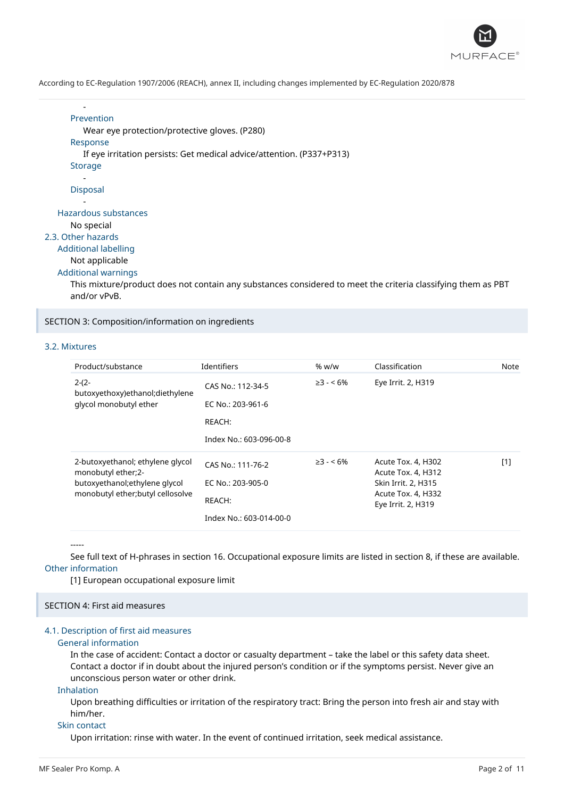

```
-
      Prevention
         Wear eye protection/protective gloves. (P280)
      Response
         If eye irritation persists: Get medical advice/attention. (P337+P313)
      Storage
         -
      Disposal
         -
   Hazardous substances
      No special
2.3. Other hazards
```
Additional labelling

```
Not applicable
```
#### Additional warnings

This mixture/product does not contain any substances considered to meet the criteria classifying them as PBT and/or vPvB.

SECTION 3: Composition/information on ingredients

# 3.2. Mixtures

| Product/substance                                      | <b>Identifiers</b>      | % w/w           | Classification                           | Note  |
|--------------------------------------------------------|-------------------------|-----------------|------------------------------------------|-------|
| $2-(2-$<br>butoxyethoxy)ethanol;diethylene             | CAS No.: 112-34-5       | $\geq$ 3 - < 6% | Eye Irrit. 2, H319                       |       |
| glycol monobutyl ether                                 | EC No.: 203-961-6       |                 |                                          |       |
|                                                        | REACH:                  |                 |                                          |       |
|                                                        | Index No.: 603-096-00-8 |                 |                                          |       |
| 2-butoxyethanol; ethylene glycol<br>monobutyl ether;2- | CAS No.: 111-76-2       | $\geq$ 3 - < 6% | Acute Tox. 4, H302<br>Acute Tox. 4, H312 | $[1]$ |
| butoxyethanol; ethylene glycol                         | EC No.: 203-905-0       |                 | Skin Irrit. 2, H315                      |       |
| monobutyl ether; butyl cellosolve                      | REACH:                  |                 | Acute Tox. 4, H332<br>Eye Irrit. 2, H319 |       |
|                                                        | Index No.: 603-014-00-0 |                 |                                          |       |

-----

See full text of H-phrases in section 16. Occupational exposure limits are listed in section 8, if these are available. Other information

[1] European occupational exposure limit

# SECTION 4: First aid measures

# 4.1. Description of first aid measures

# General information

In the case of accident: Contact a doctor or casualty department – take the label or this safety data sheet. Contact a doctor if in doubt about the injured person's condition or if the symptoms persist. Never give an unconscious person water or other drink.

# Inhalation

Upon breathing difficulties or irritation of the respiratory tract: Bring the person into fresh air and stay with him/her.

#### Skin contact

Upon irritation: rinse with water. In the event of continued irritation, seek medical assistance.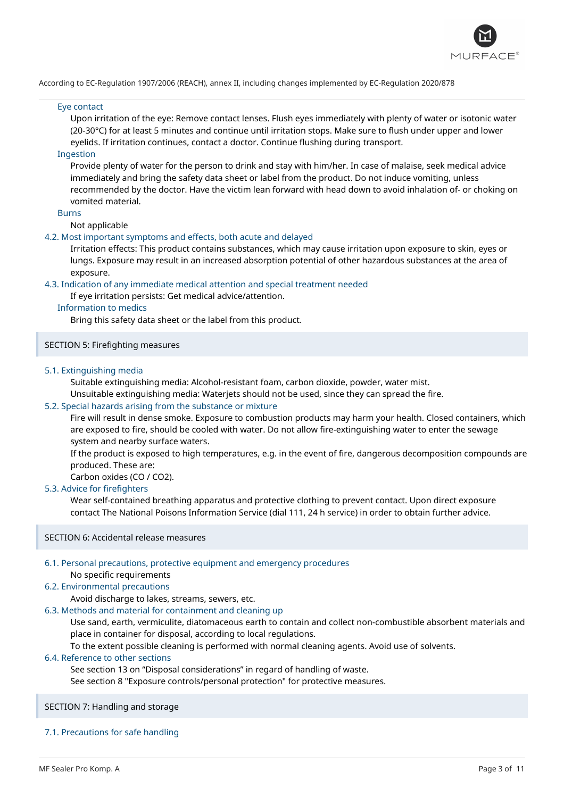

# Eye contact

Upon irritation of the eye: Remove contact lenses. Flush eyes immediately with plenty of water or isotonic water (20-30°C) for at least 5 minutes and continue until irritation stops. Make sure to flush under upper and lower eyelids. If irritation continues, contact a doctor. Continue flushing during transport.

# Ingestion

Provide plenty of water for the person to drink and stay with him/her. In case of malaise, seek medical advice immediately and bring the safety data sheet or label from the product. Do not induce vomiting, unless recommended by the doctor. Have the victim lean forward with head down to avoid inhalation of- or choking on vomited material.

#### Burns

Not applicable

## 4.2. Most important symptoms and effects, both acute and delayed

Irritation effects: This product contains substances, which may cause irritation upon exposure to skin, eyes or lungs. Exposure may result in an increased absorption potential of other hazardous substances at the area of exposure.

# 4.3. Indication of any immediate medical attention and special treatment needed

#### If eye irritation persists: Get medical advice/attention.

## Information to medics

Bring this safety data sheet or the label from this product.

# SECTION 5: Firefighting measures

# 5.1. Extinguishing media

Suitable extinguishing media: Alcohol-resistant foam, carbon dioxide, powder, water mist.

Unsuitable extinguishing media: Waterjets should not be used, since they can spread the fire.

# 5.2. Special hazards arising from the substance or mixture

Fire will result in dense smoke. Exposure to combustion products may harm your health. Closed containers, which are exposed to fire, should be cooled with water. Do not allow fire-extinguishing water to enter the sewage system and nearby surface waters.

If the product is exposed to high temperatures, e.g. in the event of fire, dangerous decomposition compounds are produced. These are:

Carbon oxides (CO / CO2).

# 5.3. Advice for firefighters

Wear self-contained breathing apparatus and protective clothing to prevent contact. Upon direct exposure contact The National Poisons Information Service (dial 111, 24 h service) in order to obtain further advice.

# SECTION 6: Accidental release measures

# 6.1. Personal precautions, protective equipment and emergency procedures

No specific requirements

# 6.2. Environmental precautions

# Avoid discharge to lakes, streams, sewers, etc.

6.3. Methods and material for containment and cleaning up

Use sand, earth, vermiculite, diatomaceous earth to contain and collect non-combustible absorbent materials and place in container for disposal, according to local regulations.

To the extent possible cleaning is performed with normal cleaning agents. Avoid use of solvents.

# 6.4. Reference to other sections

See section 13 on "Disposal considerations" in regard of handling of waste.

See section 8 "Exposure controls/personal protection" for protective measures.

#### SECTION 7: Handling and storage

# 7.1. Precautions for safe handling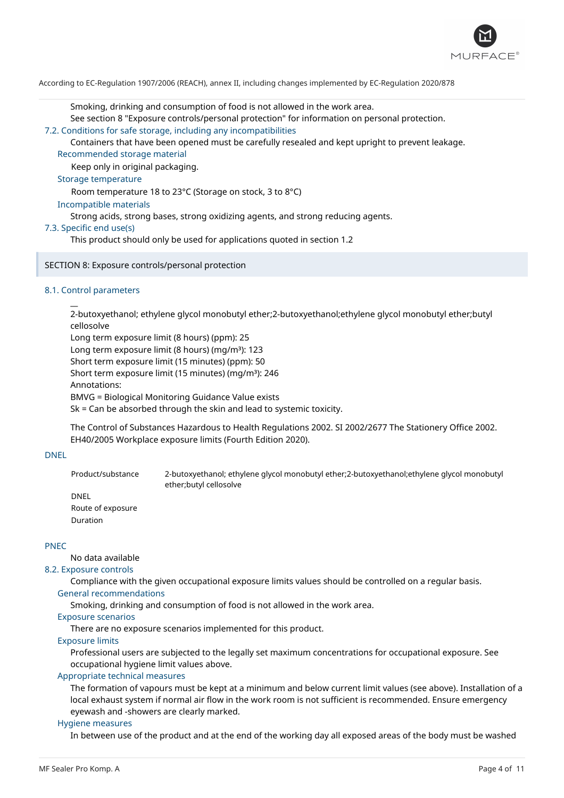

Smoking, drinking and consumption of food is not allowed in the work area.

See section 8 "Exposure controls/personal protection" for information on personal protection.

7.2. Conditions for safe storage, including any incompatibilities

Containers that have been opened must be carefully resealed and kept upright to prevent leakage. Recommended storage material

Keep only in original packaging.

# Storage temperature

Room temperature 18 to 23°C (Storage on stock, 3 to 8°C)

# Incompatible materials

Strong acids, strong bases, strong oxidizing agents, and strong reducing agents.

# 7.3. Specific end use(s)

This product should only be used for applications quoted in section 1.2

# SECTION 8: Exposure controls/personal protection

# 8.1. Control parameters

 $\overline{a}$ 

2-butoxyethanol; ethylene glycol monobutyl ether;2-butoxyethanol;ethylene glycol monobutyl ether;butyl cellosolve

Long term exposure limit (8 hours) (ppm): 25 Long term exposure limit (8 hours) (mg/m<sup>3</sup>): 123 Short term exposure limit (15 minutes) (ppm): 50 Short term exposure limit (15 minutes) (mg/m<sup>3</sup>): 246 Annotations: BMVG = Biological Monitoring Guidance Value exists

Sk = Can be absorbed through the skin and lead to systemic toxicity.

The Control of Substances Hazardous to Health Regulations 2002. SI 2002/2677 The Stationery Office 2002. EH40/2005 Workplace exposure limits (Fourth Edition 2020).

# DNEL

Product/substance 2-butoxyethanol; ethylene glycol monobutyl ether;2-butoxyethanol;ethylene glycol monobutyl ether;butyl cellosolve

DNEL Route of exposure Duration

# PNEC

No data available

# 8.2. Exposure controls

Compliance with the given occupational exposure limits values should be controlled on a regular basis. General recommendations

Smoking, drinking and consumption of food is not allowed in the work area.

# Exposure scenarios

There are no exposure scenarios implemented for this product.

# Exposure limits

Professional users are subjected to the legally set maximum concentrations for occupational exposure. See occupational hygiene limit values above.

# Appropriate technical measures

The formation of vapours must be kept at a minimum and below current limit values (see above). Installation of a local exhaust system if normal air flow in the work room is not sufficient is recommended. Ensure emergency eyewash and -showers are clearly marked.

# Hygiene measures

In between use of the product and at the end of the working day all exposed areas of the body must be washed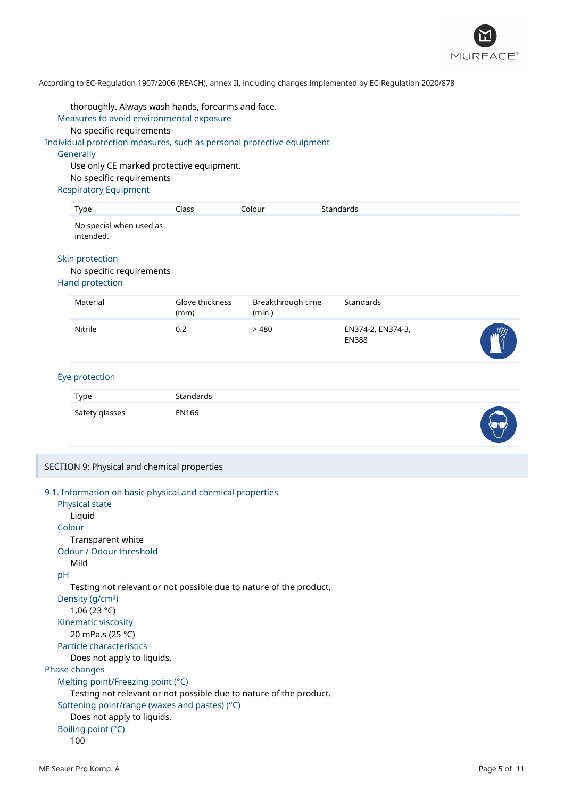

|    | thoroughly. Always wash hands, forearms and face.                     |                         |                             |                                   |  |
|----|-----------------------------------------------------------------------|-------------------------|-----------------------------|-----------------------------------|--|
|    | Measures to avoid environmental exposure                              |                         |                             |                                   |  |
|    | No specific requirements                                              |                         |                             |                                   |  |
|    | Individual protection measures, such as personal protective equipment |                         |                             |                                   |  |
|    | Generally                                                             |                         |                             |                                   |  |
|    | Use only CE marked protective equipment.                              |                         |                             |                                   |  |
|    | No specific requirements                                              |                         |                             |                                   |  |
|    | <b>Respiratory Equipment</b>                                          |                         |                             |                                   |  |
|    | Type                                                                  | Class                   | Colour                      | Standards                         |  |
|    | No special when used as<br>intended.                                  |                         |                             |                                   |  |
|    | Skin protection<br>No specific requirements<br><b>Hand protection</b> |                         |                             |                                   |  |
|    | Material                                                              | Glove thickness<br>(mm) | Breakthrough time<br>(min.) | Standards                         |  |
|    | Nitrile                                                               | 0.2                     | >480                        | EN374-2, EN374-3,<br><b>EN388</b> |  |
|    | Eye protection                                                        |                         |                             |                                   |  |
|    | Type                                                                  | Standards               |                             |                                   |  |
|    | Safety glasses                                                        | <b>EN166</b>            |                             |                                   |  |
|    | SECTION 9: Physical and chemical properties                           |                         |                             |                                   |  |
|    |                                                                       |                         |                             |                                   |  |
|    | 9.1. Information on basic physical and chemical properties            |                         |                             |                                   |  |
|    | Physical state                                                        |                         |                             |                                   |  |
|    | Liquid                                                                |                         |                             |                                   |  |
|    | Colour                                                                |                         |                             |                                   |  |
|    | Transparent white                                                     |                         |                             |                                   |  |
|    | Odour / Odour threshold                                               |                         |                             |                                   |  |
|    | Mild                                                                  |                         |                             |                                   |  |
| pH |                                                                       |                         |                             |                                   |  |
|    | Testing not relevant or not possible due to nature of the product.    |                         |                             |                                   |  |
|    | Density (g/cm <sup>3</sup> )                                          |                         |                             |                                   |  |
|    | 1.06 (23 °C)                                                          |                         |                             |                                   |  |
|    | Kinematic viscosity                                                   |                         |                             |                                   |  |
|    | 20 mPa.s (25 °C)                                                      |                         |                             |                                   |  |
|    | Particle characteristics                                              |                         |                             |                                   |  |
|    | Does not apply to liquids.                                            |                         |                             |                                   |  |
|    | Phase changes                                                         |                         |                             |                                   |  |

Softening point/range (waxes and pastes) (°C)

Does not apply to liquids.

Boiling point (°C) 100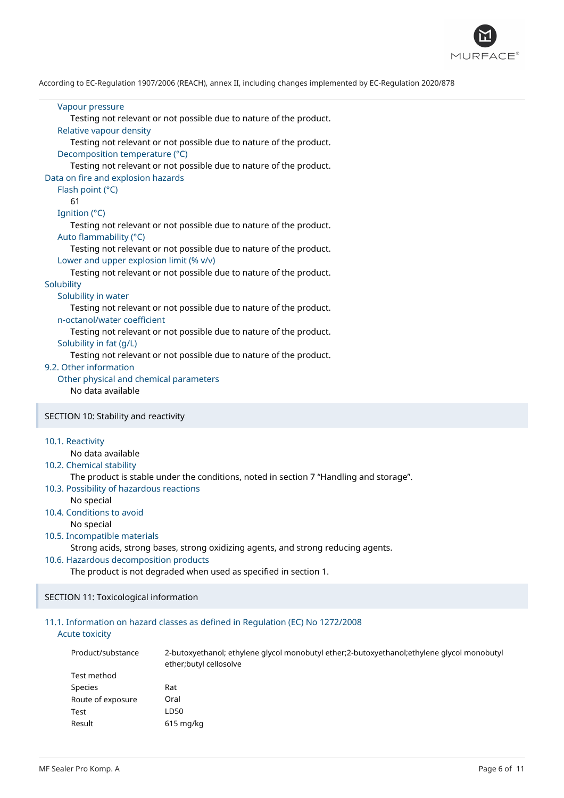

# Vapour pressure Testing not relevant or not possible due to nature of the product. Relative vapour density Testing not relevant or not possible due to nature of the product. Decomposition temperature (°C) Testing not relevant or not possible due to nature of the product. Data on fire and explosion hazards Flash point (°C) 61 Ignition (°C) Testing not relevant or not possible due to nature of the product. Auto flammability (°C) Testing not relevant or not possible due to nature of the product. Lower and upper explosion limit (% v/v) Testing not relevant or not possible due to nature of the product. **Solubility** Solubility in water Testing not relevant or not possible due to nature of the product. n-octanol/water coefficient Testing not relevant or not possible due to nature of the product. Solubility in fat (g/L) Testing not relevant or not possible due to nature of the product. 9.2. Other information Other physical and chemical parameters No data available SECTION 10: Stability and reactivity 10.1. Reactivity No data available 10.2. Chemical stability The product is stable under the conditions, noted in section 7 "Handling and storage". 10.3. Possibility of hazardous reactions No special 10.4. Conditions to avoid No special

#### 10.5. Incompatible materials

Strong acids, strong bases, strong oxidizing agents, and strong reducing agents.

# 10.6. Hazardous decomposition products

The product is not degraded when used as specified in section 1.

## SECTION 11: Toxicological information

# 11.1. Information on hazard classes as defined in Regulation (EC) No 1272/2008 Acute toxicity

| Product/substance | 2-butoxyethanol; ethylene glycol monobutyl ether; 2-butoxyethanol; ethylene glycol monobutyl<br>ether; butyl cellosolve |
|-------------------|-------------------------------------------------------------------------------------------------------------------------|
| Test method       |                                                                                                                         |
| <b>Species</b>    | Rat                                                                                                                     |
| Route of exposure | Oral                                                                                                                    |
| Test              | LD50                                                                                                                    |
| Result            | $615$ mg/kg                                                                                                             |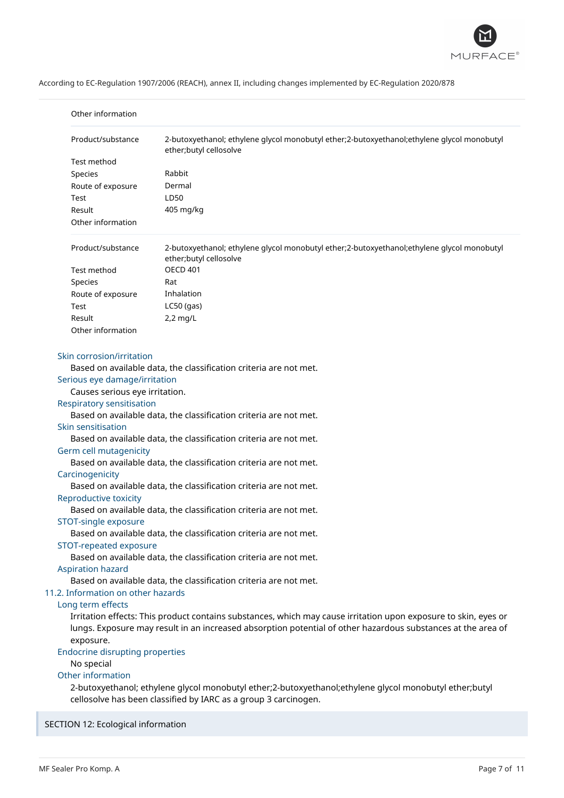

| Other information                                                                                                                                                                                                                                                                                   |                                                                                                                                                                                                                                                                                                                                                                                                                                                                                                                                                                                                                                           |
|-----------------------------------------------------------------------------------------------------------------------------------------------------------------------------------------------------------------------------------------------------------------------------------------------------|-------------------------------------------------------------------------------------------------------------------------------------------------------------------------------------------------------------------------------------------------------------------------------------------------------------------------------------------------------------------------------------------------------------------------------------------------------------------------------------------------------------------------------------------------------------------------------------------------------------------------------------------|
| Product/substance                                                                                                                                                                                                                                                                                   | 2-butoxyethanol; ethylene glycol monobutyl ether;2-butoxyethanol;ethylene glycol monobutyl<br>ether;butyl cellosolve                                                                                                                                                                                                                                                                                                                                                                                                                                                                                                                      |
| Test method                                                                                                                                                                                                                                                                                         |                                                                                                                                                                                                                                                                                                                                                                                                                                                                                                                                                                                                                                           |
| Species                                                                                                                                                                                                                                                                                             | Rabbit                                                                                                                                                                                                                                                                                                                                                                                                                                                                                                                                                                                                                                    |
| Route of exposure                                                                                                                                                                                                                                                                                   | Dermal                                                                                                                                                                                                                                                                                                                                                                                                                                                                                                                                                                                                                                    |
| Test                                                                                                                                                                                                                                                                                                | LD50                                                                                                                                                                                                                                                                                                                                                                                                                                                                                                                                                                                                                                      |
| Result                                                                                                                                                                                                                                                                                              | 405 mg/kg                                                                                                                                                                                                                                                                                                                                                                                                                                                                                                                                                                                                                                 |
| Other information                                                                                                                                                                                                                                                                                   |                                                                                                                                                                                                                                                                                                                                                                                                                                                                                                                                                                                                                                           |
| Product/substance                                                                                                                                                                                                                                                                                   | 2-butoxyethanol; ethylene glycol monobutyl ether;2-butoxyethanol;ethylene glycol monobutyl<br>ether;butyl cellosolve                                                                                                                                                                                                                                                                                                                                                                                                                                                                                                                      |
| Test method                                                                                                                                                                                                                                                                                         | <b>OECD 401</b>                                                                                                                                                                                                                                                                                                                                                                                                                                                                                                                                                                                                                           |
| Species                                                                                                                                                                                                                                                                                             | Rat                                                                                                                                                                                                                                                                                                                                                                                                                                                                                                                                                                                                                                       |
| Route of exposure                                                                                                                                                                                                                                                                                   | Inhalation                                                                                                                                                                                                                                                                                                                                                                                                                                                                                                                                                                                                                                |
| Test                                                                                                                                                                                                                                                                                                | $LC50$ (gas)                                                                                                                                                                                                                                                                                                                                                                                                                                                                                                                                                                                                                              |
| Result                                                                                                                                                                                                                                                                                              | $2,2$ mg/L                                                                                                                                                                                                                                                                                                                                                                                                                                                                                                                                                                                                                                |
| Other information                                                                                                                                                                                                                                                                                   |                                                                                                                                                                                                                                                                                                                                                                                                                                                                                                                                                                                                                                           |
| Skin corrosion/irritation<br>Serious eye damage/irritation<br>Causes serious eye irritation.<br>Respiratory sensitisation<br>Skin sensitisation<br>Germ cell mutagenicity<br>Carcinogenicity<br>Reproductive toxicity<br>STOT-single exposure<br>STOT-repeated exposure<br><b>Aspiration hazard</b> | Based on available data, the classification criteria are not met.<br>Based on available data, the classification criteria are not met.<br>Based on available data, the classification criteria are not met.<br>Based on available data, the classification criteria are not met.<br>Based on available data, the classification criteria are not met.<br>Based on available data, the classification criteria are not met.<br>Based on available data, the classification criteria are not met.<br>Based on available data, the classification criteria are not met.<br>Based on available data, the classification criteria are not met. |
| 11.2. Information on other hazards<br>Long term effects<br>exposure.<br><b>Endocrine disrupting properties</b><br>No special<br>Other information                                                                                                                                                   | Irritation effects: This product contains substances, which may cause irritation upon exposure to skin, eyes or<br>lungs. Exposure may result in an increased absorption potential of other hazardous substances at the area of<br>2-butoxyethanol; ethylene glycol monobutyl ether;2-butoxyethanol;ethylene glycol monobutyl ether;butyl<br>cellosolve has been classified by IARC as a group 3 carcinogen.                                                                                                                                                                                                                              |

SECTION 12: Ecological information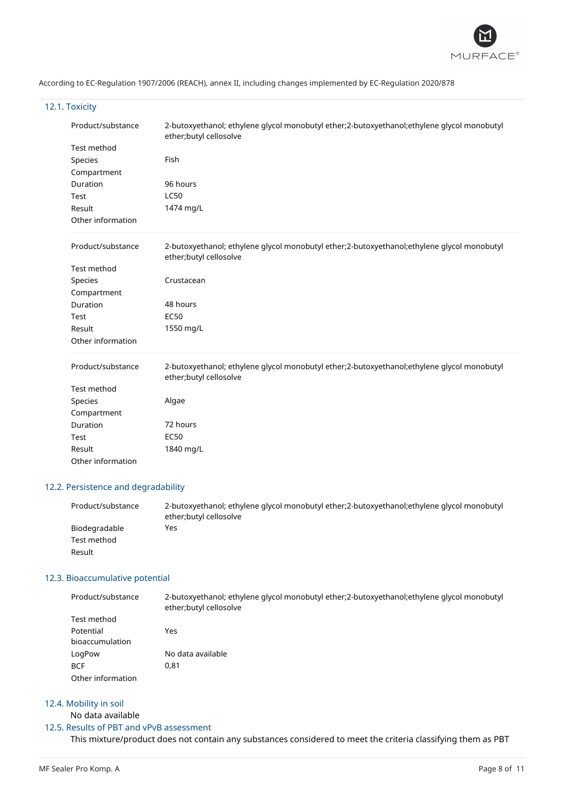

# 12.1. Toxicity

| Product/substance | 2-butoxyethanol; ethylene glycol monobutyl ether;2-butoxyethanol;ethylene glycol monobutyl<br>ether;butyl cellosolve |
|-------------------|----------------------------------------------------------------------------------------------------------------------|
| Test method       |                                                                                                                      |
| Species           | Fish                                                                                                                 |
| Compartment       |                                                                                                                      |
| Duration          | 96 hours                                                                                                             |
| Test              | <b>LC50</b>                                                                                                          |
| Result            | 1474 mg/L                                                                                                            |
| Other information |                                                                                                                      |
| Product/substance | 2-butoxyethanol; ethylene glycol monobutyl ether;2-butoxyethanol;ethylene glycol monobutyl<br>ether;butyl cellosolve |
| Test method       |                                                                                                                      |
| Species           | Crustacean                                                                                                           |
| Compartment       |                                                                                                                      |
| Duration          | 48 hours                                                                                                             |
| Test              | <b>EC50</b>                                                                                                          |
| Result            | 1550 mg/L                                                                                                            |
| Other information |                                                                                                                      |
| Product/substance | 2-butoxyethanol; ethylene glycol monobutyl ether;2-butoxyethanol;ethylene glycol monobutyl<br>ether;butyl cellosolve |
| Test method       |                                                                                                                      |
| Species           | Algae                                                                                                                |
| Compartment       |                                                                                                                      |
| Duration          | 72 hours                                                                                                             |
| Test              | <b>EC50</b>                                                                                                          |
| Result            | 1840 mg/L                                                                                                            |
| Other information |                                                                                                                      |

# 12.2. Persistence and degradability

| Product/substance | 2-butoxyethanol; ethylene glycol monobutyl ether; 2-butoxyethanol; ethylene glycol monobutyl<br>ether;butyl cellosolve |
|-------------------|------------------------------------------------------------------------------------------------------------------------|
| Biodegradable     | Yes                                                                                                                    |
| Test method       |                                                                                                                        |
| Result            |                                                                                                                        |

# 12.3. Bioaccumulative potential

| Product/substance | 2-butoxyethanol; ethylene glycol monobutyl ether; 2-butoxyethanol; ethylene glycol monobutyl<br>ether; butyl cellosolve |
|-------------------|-------------------------------------------------------------------------------------------------------------------------|
| Test method       |                                                                                                                         |
| Potential         | Yes                                                                                                                     |
| bioaccumulation   |                                                                                                                         |
| LogPow            | No data available                                                                                                       |
| <b>BCF</b>        | 0,81                                                                                                                    |
| Other information |                                                                                                                         |

# 12.4. Mobility in soil

# No data available

# 12.5. Results of PBT and vPvB assessment

This mixture/product does not contain any substances considered to meet the criteria classifying them as PBT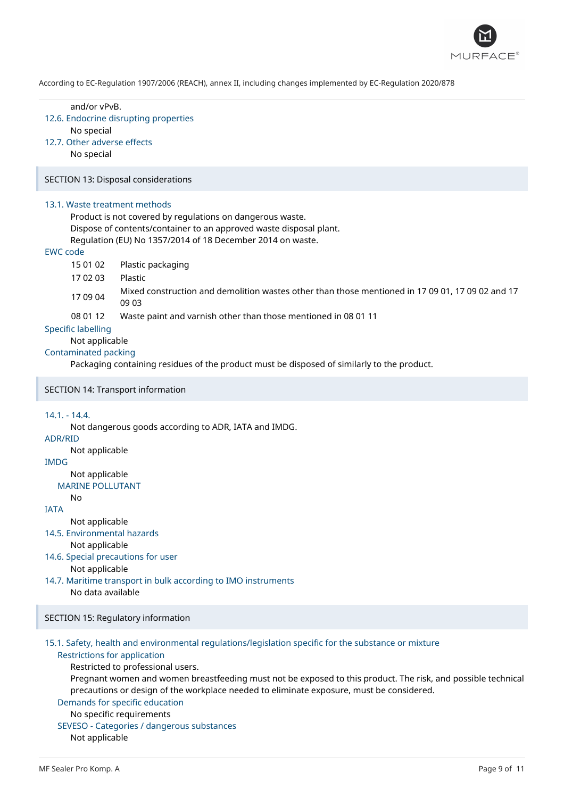

and/or vPvB. 12.6. Endocrine disrupting properties No special 12.7. Other adverse effects No special SECTION 13: Disposal considerations 13.1. Waste treatment methods Product is not covered by regulations on dangerous waste. Dispose of contents/container to an approved waste disposal plant. Regulation (EU) No 1357/2014 of 18 December 2014 on waste. EWC code 15 01 02 Plastic packaging 17 02 03 Plastic 17 09 04 Mixed construction and demolition wastes other than those mentioned in 17 09 01, 17 09 02 and 17 09 03 08 01 12 Waste paint and varnish other than those mentioned in 08 01 11 Specific labelling Not applicable Contaminated packing Packaging containing residues of the product must be disposed of similarly to the product. SECTION 14: Transport information 14.1. - 14.4. Not dangerous goods according to ADR, IATA and IMDG. ADR/RID Not applicable IMDG Not applicable MARINE POLLUTANT No IATA Not applicable 14.5. Environmental hazards Not applicable 14.6. Special precautions for user Not applicable 14.7. Maritime transport in bulk according to IMO instruments No data available SECTION 15: Regulatory information

#### 15.1. Safety, health and environmental regulations/legislation specific for the substance or mixture Restrictions for application

Restricted to professional users.

Pregnant women and women breastfeeding must not be exposed to this product. The risk, and possible technical precautions or design of the workplace needed to eliminate exposure, must be considered.

# Demands for specific education

# No specific requirements

SEVESO - Categories / dangerous substances

Not applicable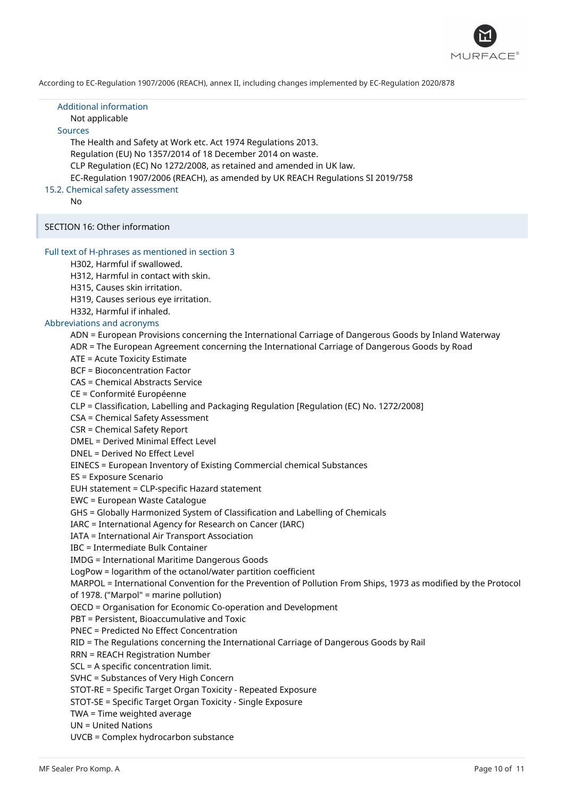

| <b>Additional information</b><br>Not applicable<br><b>Sources</b><br>The Health and Safety at Work etc. Act 1974 Regulations 2013.<br>Regulation (EU) No 1357/2014 of 18 December 2014 on waste.<br>CLP Regulation (EC) No 1272/2008, as retained and amended in UK law.<br>EC-Regulation 1907/2006 (REACH), as amended by UK REACH Regulations SI 2019/758<br>15.2. Chemical safety assessment<br>No                                                                                                                                                                                                                                                                                                                                                                                                                                                                                                                                                                                                                                                                                                                                                                                                                                                                                                                                                                                                                                                                                                                                                                                                                                                                                                                                                                                                                                                                                                                                                                                                                                                                                                                                                               |
|---------------------------------------------------------------------------------------------------------------------------------------------------------------------------------------------------------------------------------------------------------------------------------------------------------------------------------------------------------------------------------------------------------------------------------------------------------------------------------------------------------------------------------------------------------------------------------------------------------------------------------------------------------------------------------------------------------------------------------------------------------------------------------------------------------------------------------------------------------------------------------------------------------------------------------------------------------------------------------------------------------------------------------------------------------------------------------------------------------------------------------------------------------------------------------------------------------------------------------------------------------------------------------------------------------------------------------------------------------------------------------------------------------------------------------------------------------------------------------------------------------------------------------------------------------------------------------------------------------------------------------------------------------------------------------------------------------------------------------------------------------------------------------------------------------------------------------------------------------------------------------------------------------------------------------------------------------------------------------------------------------------------------------------------------------------------------------------------------------------------------------------------------------------------|
| SECTION 16: Other information                                                                                                                                                                                                                                                                                                                                                                                                                                                                                                                                                                                                                                                                                                                                                                                                                                                                                                                                                                                                                                                                                                                                                                                                                                                                                                                                                                                                                                                                                                                                                                                                                                                                                                                                                                                                                                                                                                                                                                                                                                                                                                                                       |
| Full text of H-phrases as mentioned in section 3<br>H302, Harmful if swallowed.<br>H312, Harmful in contact with skin.<br>H315, Causes skin irritation.<br>H319, Causes serious eye irritation.<br>H332, Harmful if inhaled.<br>Abbreviations and acronyms<br>ADN = European Provisions concerning the International Carriage of Dangerous Goods by Inland Waterway<br>ADR = The European Agreement concerning the International Carriage of Dangerous Goods by Road<br>ATE = Acute Toxicity Estimate<br><b>BCF</b> = Bioconcentration Factor<br><b>CAS = Chemical Abstracts Service</b><br>CE = Conformité Européenne<br>CLP = Classification, Labelling and Packaging Regulation [Regulation (EC) No. 1272/2008]<br>CSA = Chemical Safety Assessment<br><b>CSR = Chemical Safety Report</b><br><b>DMEL = Derived Minimal Effect Level</b><br>DNEL = Derived No Effect Level<br>EINECS = European Inventory of Existing Commercial chemical Substances<br>ES = Exposure Scenario<br>EUH statement = CLP-specific Hazard statement<br>EWC = European Waste Catalogue<br>GHS = Globally Harmonized System of Classification and Labelling of Chemicals<br>IARC = International Agency for Research on Cancer (IARC)<br><b>IATA = International Air Transport Association</b><br><b>IBC</b> = Intermediate Bulk Container<br><b>IMDG = International Maritime Dangerous Goods</b><br>LogPow = logarithm of the octanol/water partition coefficient<br>MARPOL = International Convention for the Prevention of Pollution From Ships, 1973 as modified by the Protocol<br>of 1978. ("Marpol" = marine pollution)<br>OECD = Organisation for Economic Co-operation and Development<br>PBT = Persistent, Bioaccumulative and Toxic<br><b>PNEC = Predicted No Effect Concentration</b><br>RID = The Regulations concerning the International Carriage of Dangerous Goods by Rail<br><b>RRN = REACH Registration Number</b><br>SCL = A specific concentration limit.<br>SVHC = Substances of Very High Concern<br>STOT-RE = Specific Target Organ Toxicity - Repeated Exposure<br>STOT-SE = Specific Target Organ Toxicity - Single Exposure<br>TWA = Time weighted average |
| <b>UN = United Nations</b><br>UVCB = Complex hydrocarbon substance                                                                                                                                                                                                                                                                                                                                                                                                                                                                                                                                                                                                                                                                                                                                                                                                                                                                                                                                                                                                                                                                                                                                                                                                                                                                                                                                                                                                                                                                                                                                                                                                                                                                                                                                                                                                                                                                                                                                                                                                                                                                                                  |